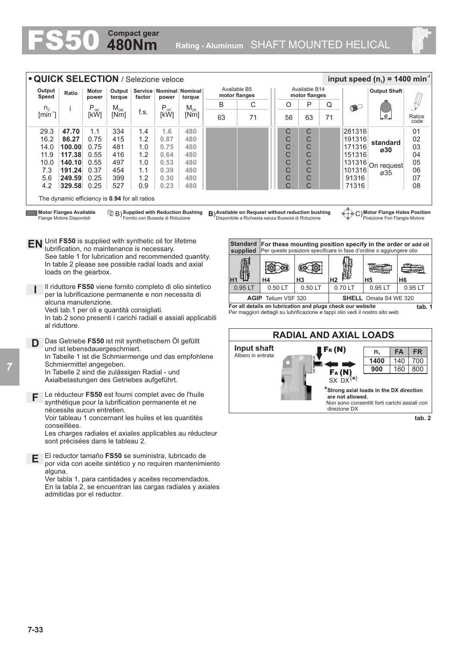

The dynamic efficiency is **0.94** for all ratios

**EN** Unit **FS50** is supplied with synthetic oil for lifetime

See table 1 for lubrication and recommended quantity. In table 2 please see possible radial loads and axial

Il riduttore **FS50** viene fornito completo di olio sintetico per la lubrificazione permanente e non necessita di

In tab.2 sono presenti i carichi radiali e assiali applicabili

In Tabelle 1 ist die Schmiermenge und das empfohlene

Le réducteur **FS50** est fourni complet avec de l'huile synthétique pour la lubrification permanente et ne

Voir tableau 1 concernant les huiles et les quantités

El reductor tamaño **FS50** se suministra, lubricado de por vida con aceite sintético y no requiren mantenimiento

Les charges radiales et axiales applicables au réducteur

Ver tabla 1, para cantidades y aceites recomendados. En la tabla 2, se encuentran las cargas radiales y axiales

lubrification, no maintenance is necessary.

Vedi tab.1 per oli e quantità consigliati.

und ist lebensdauergeschmiert.

Schmiermittel angegeben.

nécessite aucun entretien.

sont précisées dans le tableau 2.

admitidas por el reductor.

**D** Das Getriebe **FS50** ist mit synthetischem Öl gefüllt

In Tabelle 2 sind die zulässigen Radial - und Axialbelastungen des Getriebes aufgeführt.

**Motor Flanges Available** Flange Motore Disponibili

loads on the gearbox.

alcuna manutenzione.

al riduttore.

**Supplied with Reduction Bushing** Fornito con Bussola di Riduzione

**480Nm Compact gear**

**Available on Request without reduction bushing** Disponibile a Richiesta senza Bussola di Riduzione B) **B**) C)

**Motor Flange Holes Position** Posizione Fori Flangia Motore



Per maggiori dettagli su lubrificazione e tappi olio vedi il nostro sito web



**I**

**E**

**F**

alguna.

conseillées.

**7-33**